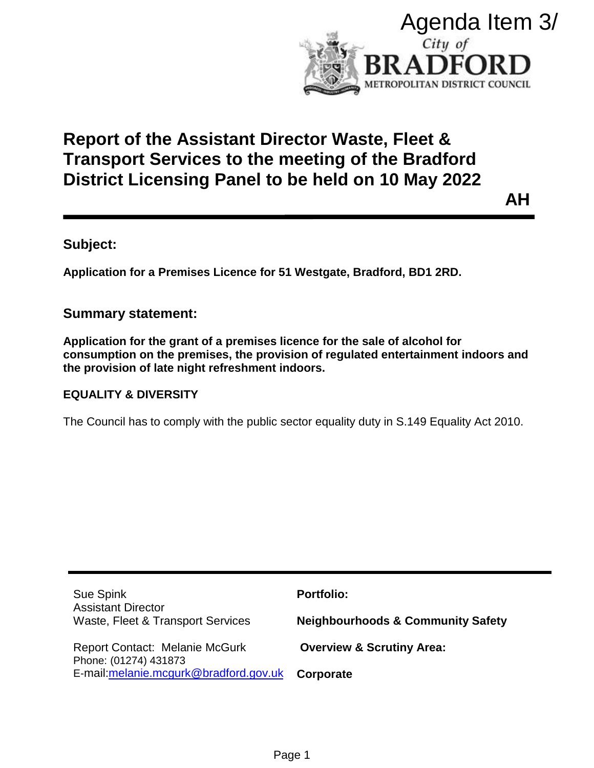

# **Report of the Assistant Director Waste, Fleet & Transport Services to the meeting of the Bradford District Licensing Panel to be held on 10 May 2022**

# **Subject:**

## **Summary statement:**

## **EQUALITY & DIVERSITY**

| Agenda Item 3/                                                                                                                                                                                                   |                                                          |
|------------------------------------------------------------------------------------------------------------------------------------------------------------------------------------------------------------------|----------------------------------------------------------|
|                                                                                                                                                                                                                  | City of<br>RADFOI<br>RD<br>METROPOLITAN DISTRICT COUNCIL |
| የeport of the Assistant Director Waste, Fleet &<br>Transport Services to the meeting of the Bradford<br>)istrict Licensing Panel to be held on 10 May 2022                                                       |                                                          |
|                                                                                                                                                                                                                  | ΑH                                                       |
| ubject:                                                                                                                                                                                                          |                                                          |
| pplication for a Premises Licence for 51 Westgate, Bradford, BD1 2RD.                                                                                                                                            |                                                          |
| ummary statement:                                                                                                                                                                                                |                                                          |
| pplication for the grant of a premises licence for the sale of alcohol for<br>onsumption on the premises, the provision of regulated entertainment indoors and<br>e provision of late night refreshment indoors. |                                                          |
| <b>QUALITY &amp; DIVERSITY</b>                                                                                                                                                                                   |                                                          |
| he Council has to comply with the public sector equality duty in S.149 Equality Act 2010.                                                                                                                        |                                                          |
|                                                                                                                                                                                                                  |                                                          |
|                                                                                                                                                                                                                  |                                                          |
|                                                                                                                                                                                                                  |                                                          |
|                                                                                                                                                                                                                  |                                                          |
|                                                                                                                                                                                                                  |                                                          |
| Sue Spink                                                                                                                                                                                                        | <b>Portfolio:</b>                                        |
| <b>Assistant Director</b><br>Waste, Fleet & Transport Services                                                                                                                                                   | <b>Neighbourhoods &amp; Community Safety</b>             |
| <b>Report Contact: Melanie McGurk</b><br>Phone: (01274) 431873                                                                                                                                                   | <b>Overview &amp; Scrutiny Area:</b>                     |
| E-mail: melanie.mcgurk@bradford.gov.uk                                                                                                                                                                           | Corporate                                                |
|                                                                                                                                                                                                                  |                                                          |
|                                                                                                                                                                                                                  |                                                          |
| Page 1                                                                                                                                                                                                           |                                                          |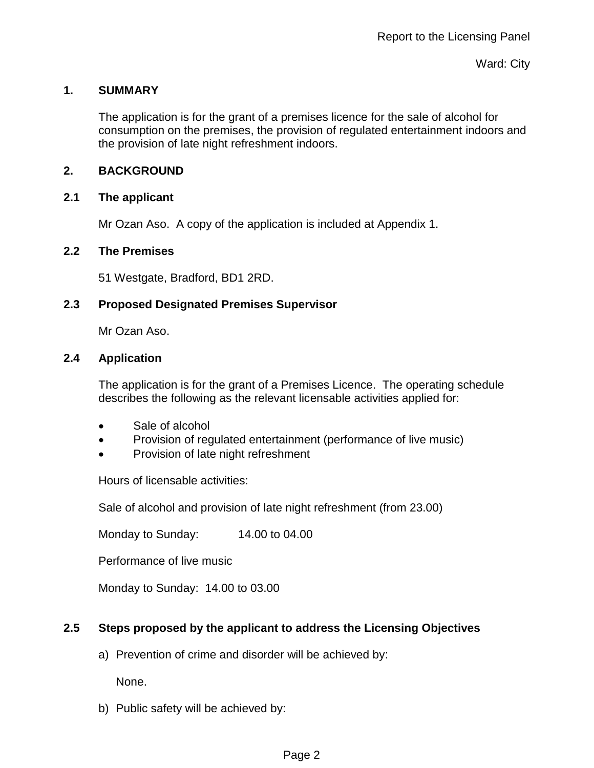#### **1. SUMMARY**

The application is for the grant of a premises licence for the sale of alcohol for consumption on the premises, the provision of regulated entertainment indoors and the provision of late night refreshment indoors.

## **2. BACKGROUND**

#### **2.1 The applicant**

Mr Ozan Aso. A copy of the application is included at Appendix 1.

#### **2.2 The Premises**

51 Westgate, Bradford, BD1 2RD.

## **2.3 Proposed Designated Premises Supervisor**

Mr Ozan Aso.

#### **2.4 Application**

The application is for the grant of a Premises Licence. The operating schedule describes the following as the relevant licensable activities applied for:

- Sale of alcohol
- Provision of regulated entertainment (performance of live music)
- Provision of late night refreshment

Hours of licensable activities:

Sale of alcohol and provision of late night refreshment (from 23.00)

Monday to Sunday: 14.00 to 04.00

Performance of live music

Monday to Sunday: 14.00 to 03.00

## **2.5 Steps proposed by the applicant to address the Licensing Objectives**

a) Prevention of crime and disorder will be achieved by:

None.

b) Public safety will be achieved by: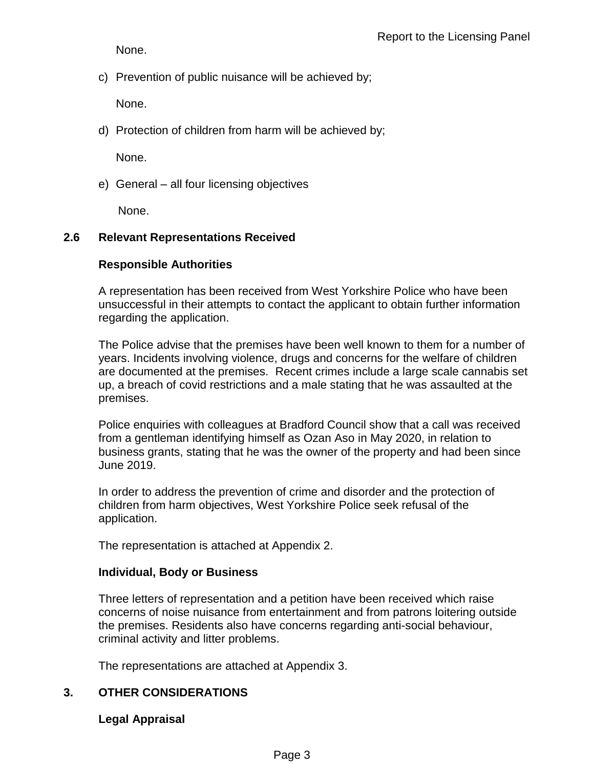None.

c) Prevention of public nuisance will be achieved by;

None.

d) Protection of children from harm will be achieved by;

None.

e) General – all four licensing objectives

None.

## **2.6 Relevant Representations Received**

## **Responsible Authorities**

A representation has been received from West Yorkshire Police who have been unsuccessful in their attempts to contact the applicant to obtain further information regarding the application.

The Police advise that the premises have been well known to them for a number of years. Incidents involving violence, drugs and concerns for the welfare of children are documented at the premises. Recent crimes include a large scale cannabis set up, a breach of covid restrictions and a male stating that he was assaulted at the premises.

Police enquiries with colleagues at Bradford Council show that a call was received from a gentleman identifying himself as Ozan Aso in May 2020, in relation to business grants, stating that he was the owner of the property and had been since June 2019.

In order to address the prevention of crime and disorder and the protection of children from harm objectives, West Yorkshire Police seek refusal of the application.

The representation is attached at Appendix 2.

## **Individual, Body or Business**

Three letters of representation and a petition have been received which raise concerns of noise nuisance from entertainment and from patrons loitering outside the premises. Residents also have concerns regarding anti-social behaviour, criminal activity and litter problems.

The representations are attached at Appendix 3.

# **3. OTHER CONSIDERATIONS**

## **Legal Appraisal**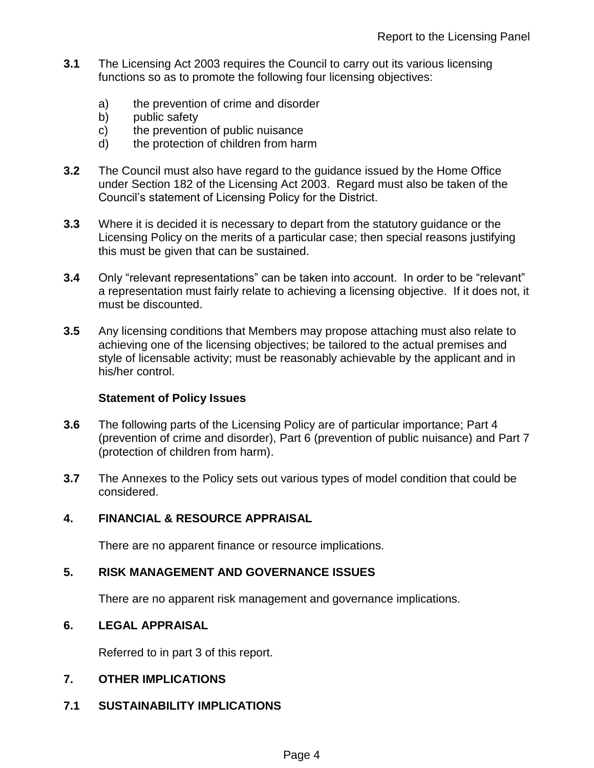- **3.1** The Licensing Act 2003 requires the Council to carry out its various licensing functions so as to promote the following four licensing objectives:
	- a) the prevention of crime and disorder
	- b) public safety
	- c) the prevention of public nuisance
	- d) the protection of children from harm
- **3.2** The Council must also have regard to the guidance issued by the Home Office under Section 182 of the Licensing Act 2003. Regard must also be taken of the Council's statement of Licensing Policy for the District.
- **3.3** Where it is decided it is necessary to depart from the statutory guidance or the Licensing Policy on the merits of a particular case; then special reasons justifying this must be given that can be sustained.
- **3.4** Only "relevant representations" can be taken into account. In order to be "relevant" a representation must fairly relate to achieving a licensing objective. If it does not, it must be discounted.
- **3.5** Any licensing conditions that Members may propose attaching must also relate to achieving one of the licensing objectives; be tailored to the actual premises and style of licensable activity; must be reasonably achievable by the applicant and in his/her control.

#### **Statement of Policy Issues**

- **3.6** The following parts of the Licensing Policy are of particular importance; Part 4 (prevention of crime and disorder), Part 6 (prevention of public nuisance) and Part 7 (protection of children from harm).
- **3.7** The Annexes to the Policy sets out various types of model condition that could be considered.

## **4. FINANCIAL & RESOURCE APPRAISAL**

There are no apparent finance or resource implications.

#### **5. RISK MANAGEMENT AND GOVERNANCE ISSUES**

There are no apparent risk management and governance implications.

#### **6. LEGAL APPRAISAL**

Referred to in part 3 of this report.

#### **7. OTHER IMPLICATIONS**

**7.1 SUSTAINABILITY IMPLICATIONS**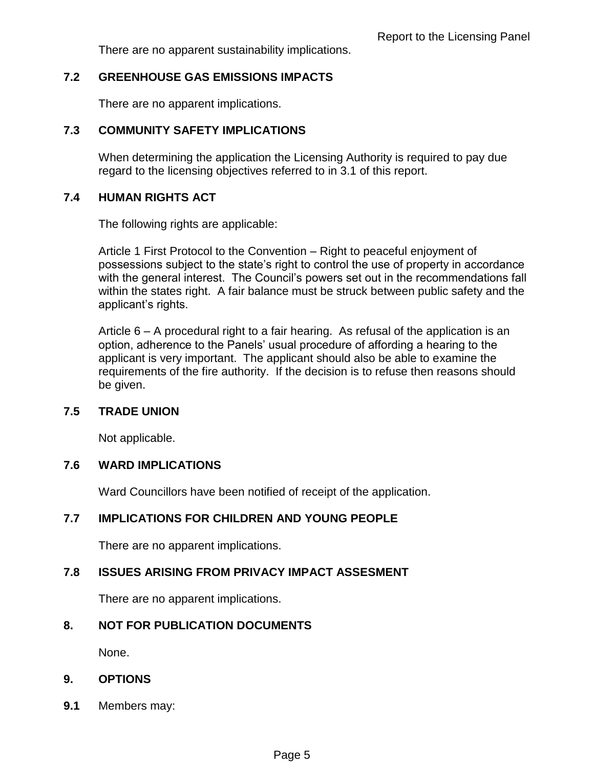There are no apparent sustainability implications.

## **7.2 GREENHOUSE GAS EMISSIONS IMPACTS**

There are no apparent implications.

## **7.3 COMMUNITY SAFETY IMPLICATIONS**

When determining the application the Licensing Authority is required to pay due regard to the licensing objectives referred to in 3.1 of this report.

## **7.4 HUMAN RIGHTS ACT**

The following rights are applicable:

Article 1 First Protocol to the Convention – Right to peaceful enjoyment of possessions subject to the state's right to control the use of property in accordance with the general interest. The Council's powers set out in the recommendations fall within the states right. A fair balance must be struck between public safety and the applicant's rights.

Article 6 – A procedural right to a fair hearing. As refusal of the application is an option, adherence to the Panels' usual procedure of affording a hearing to the applicant is very important. The applicant should also be able to examine the requirements of the fire authority. If the decision is to refuse then reasons should be given.

## **7.5 TRADE UNION**

Not applicable.

#### **7.6 WARD IMPLICATIONS**

Ward Councillors have been notified of receipt of the application.

# **7.7 IMPLICATIONS FOR CHILDREN AND YOUNG PEOPLE**

There are no apparent implications.

## **7.8 ISSUES ARISING FROM PRIVACY IMPACT ASSESMENT**

There are no apparent implications.

## **8. NOT FOR PUBLICATION DOCUMENTS**

None.

## **9. OPTIONS**

**9.1** Members may: